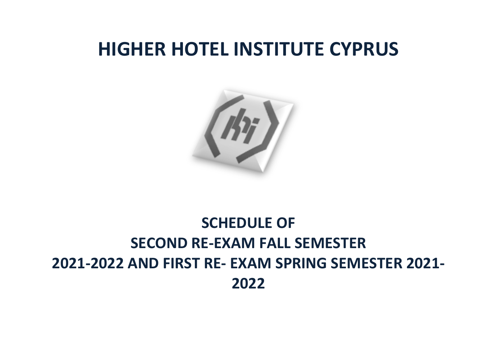## **HIGHER HOTEL INSTITUTE CYPRUS**



## **SCHEDULE OF SECOND RE-EXAM FALL SEMESTER 2021-2022 AND FIRST RE- EXAM SPRING SEMESTER 2021- 2022**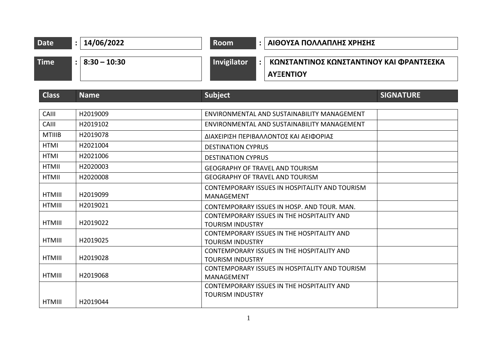| <b>Date</b>   | 14/06/2022<br>$\ddot{\cdot}$     | <b>Room</b>                                                                  | ΑΙΘΟΥΣΑ ΠΟΛΛΑΠΛΗΣ ΧΡΗΣΗΣ |  |
|---------------|----------------------------------|------------------------------------------------------------------------------|--------------------------|--|
| <b>Time</b>   | $8:30 - 10:30$<br>$\ddot{\cdot}$ | Invigilator<br>ΚΩΝΣΤΑΝΤΙΝΟΣ ΚΩΝΣΤΑΝΤΙΝΟΥ ΚΑΙ ΦΡΑΝΤΣΕΣΚΑ<br><b>AYEENTIOY</b>  |                          |  |
| <b>Class</b>  | <b>Name</b>                      | <b>Subject</b>                                                               | <b>SIGNATURE</b>         |  |
| CAIII         | H2019009                         | ENVIRONMENTAL AND SUSTAINABILITY MANAGEMENT                                  |                          |  |
| CAIII         | H2019102                         | ENVIRONMENTAL AND SUSTAINABILITY MANAGEMENT                                  |                          |  |
| <b>MTIIIB</b> | H2019078                         | ΔΙΑΧΕΙΡΙΣΗ ΠΕΡΙΒΑΛΛΟΝΤΟΣ ΚΑΙ ΑΕΙΦΟΡΙΑΣ                                       |                          |  |
| <b>HTMI</b>   | H2021004                         | <b>DESTINATION CYPRUS</b>                                                    |                          |  |
| <b>HTMI</b>   | H2021006                         | <b>DESTINATION CYPRUS</b>                                                    |                          |  |
| <b>HTMII</b>  | H2020003                         | <b>GEOGRAPHY OF TRAVEL AND TOURISM</b>                                       |                          |  |
| <b>HTMII</b>  | H2020008                         | <b>GEOGRAPHY OF TRAVEL AND TOURISM</b>                                       |                          |  |
| <b>HTMIII</b> | H2019099                         | CONTEMPORARY ISSUES IN HOSPITALITY AND TOURISM<br><b>MANAGEMENT</b>          |                          |  |
| <b>HTMIII</b> | H2019021                         | CONTEMPORARY ISSUES IN HOSP. AND TOUR, MAN.                                  |                          |  |
| <b>HTMIII</b> | H2019022                         | <b>CONTEMPORARY ISSUES IN THE HOSPITALITY AND</b><br><b>TOURISM INDUSTRY</b> |                          |  |
| <b>HTMIII</b> | H2019025                         | CONTEMPORARY ISSUES IN THE HOSPITALITY AND<br><b>TOURISM INDUSTRY</b>        |                          |  |
| <b>HTMIII</b> | H2019028                         | <b>CONTEMPORARY ISSUES IN THE HOSPITALITY AND</b><br><b>TOURISM INDUSTRY</b> |                          |  |
| <b>HTMIII</b> | H2019068                         | CONTEMPORARY ISSUES IN HOSPITALITY AND TOURISM<br>MANAGEMENT                 |                          |  |
| <b>HTMIII</b> | H2019044                         | CONTEMPORARY ISSUES IN THE HOSPITALITY AND<br><b>TOURISM INDUSTRY</b>        |                          |  |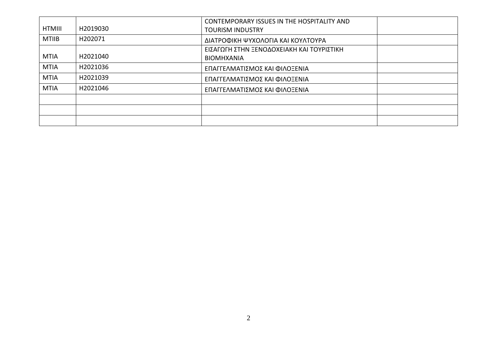|               |          | CONTEMPORARY ISSUES IN THE HOSPITALITY AND |  |
|---------------|----------|--------------------------------------------|--|
| <b>HTMIII</b> | H2019030 | <b>TOURISM INDUSTRY</b>                    |  |
| <b>MTIIB</b>  | H202071  | ΔΙΑΤΡΟΦΙΚΗ ΨΥΧΟΛΟΓΙΑ ΚΑΙ ΚΟΥΛΤΟΥΡΑ         |  |
|               |          | ΕΙΣΑΓΩΓΗ ΣΤΗΝ ΞΕΝΟΔΟΧΕΙΑΚΗ ΚΑΙ ΤΟΥΡΙΣΤΙΚΗ  |  |
| <b>MTIA</b>   | H2021040 | <b>BIOMHXANIA</b>                          |  |
| <b>MTIA</b>   | H2021036 | ΕΠΑΓΓΕΛΜΑΤΙΣΜΟΣ ΚΑΙ ΦΙΛΟΞΕΝΙΑ              |  |
| <b>MTIA</b>   | H2021039 | ΕΠΑΓΓΕΛΜΑΤΙΣΜΟΣ ΚΑΙ ΦΙΛΟΞΕΝΙΑ              |  |
| <b>MTIA</b>   | H2021046 | ΕΠΑΓΓΕΛΜΑΤΙΣΜΟΣ ΚΑΙ ΦΙΛΟΞΕΝΙΑ              |  |
|               |          |                                            |  |
|               |          |                                            |  |
|               |          |                                            |  |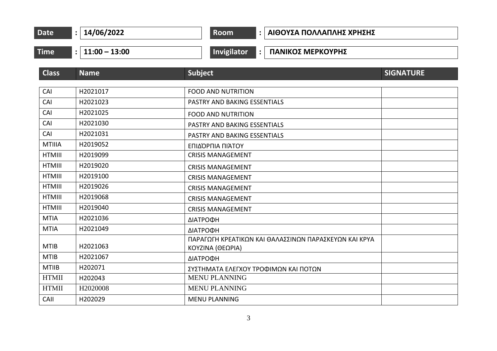| Date | 14/06/2022 | <b>Room</b> | ΑΙΘΟΥΣΑ ΠΟΛΛΑΠΛΗΣ ΧΡΗΣΗΣ |
|------|------------|-------------|--------------------------|
|------|------------|-------------|--------------------------|

**Time : 11:00 – 13:00 Invigilator : ΠΑΝΙΚΟΣ ΜΕΡΚΟΥΡΗΣ**

| <b>Class</b>  | <b>Name</b> | <b>Subject</b>                                                            | <b>SIGNATURE</b> |
|---------------|-------------|---------------------------------------------------------------------------|------------------|
|               |             |                                                                           |                  |
| CAI           | H2021017    | <b>FOOD AND NUTRITION</b>                                                 |                  |
| CAI           | H2021023    | PASTRY AND BAKING ESSENTIALS                                              |                  |
| CAI           | H2021025    | <b>FOOD AND NUTRITION</b>                                                 |                  |
| CAI           | H2021030    | PASTRY AND BAKING ESSENTIALS                                              |                  |
| CAI           | H2021031    | PASTRY AND BAKING ESSENTIALS                                              |                  |
| <b>MTIIIA</b> | H2019052    | ΕΠΙΔΌΡΠΙΑ ΠΙΆΤΟΥ                                                          |                  |
| <b>HTMIII</b> | H2019099    | <b>CRISIS MANAGEMENT</b>                                                  |                  |
| <b>HTMIII</b> | H2019020    | <b>CRISIS MANAGEMENT</b>                                                  |                  |
| <b>HTMIII</b> | H2019100    | <b>CRISIS MANAGEMENT</b>                                                  |                  |
| <b>HTMIII</b> | H2019026    | <b>CRISIS MANAGEMENT</b>                                                  |                  |
| <b>HTMIII</b> | H2019068    | <b>CRISIS MANAGEMENT</b>                                                  |                  |
| <b>HTMIII</b> | H2019040    | <b>CRISIS MANAGEMENT</b>                                                  |                  |
| <b>MTIA</b>   | H2021036    | ΔΙΑΤΡΟΦΗ                                                                  |                  |
| <b>MTIA</b>   | H2021049    | ΔΙΑΤΡΟΦΗ                                                                  |                  |
| <b>MTIB</b>   | H2021063    | ΠΑΡΑΓΩΓΗ ΚΡΕΑΤΙΚΩΝ ΚΑΙ ΘΑΛΑΣΣΙΝΩΝ ΠΑΡΑΣΚΕΥΩΝ ΚΑΙ ΚΡΥΑ<br>ΚΟΥΖΙΝΑ (ΘΕΩΡΙΑ) |                  |
| <b>MTIB</b>   | H2021067    | ΔΙΑΤΡΟΦΗ                                                                  |                  |
| <b>MTIIB</b>  | H202071     | ΣΥΣΤΗΜΑΤΑ ΕΛΕΓΧΟΥ ΤΡΟΦΙΜΩΝ ΚΑΙ ΠΟΤΩΝ                                      |                  |
| <b>HTMII</b>  | H202043     | <b>MENU PLANNING</b>                                                      |                  |
| <b>HTMII</b>  | H2020008    | <b>MENU PLANNING</b>                                                      |                  |
| CAII          | H202029     | <b>MENU PLANNING</b>                                                      |                  |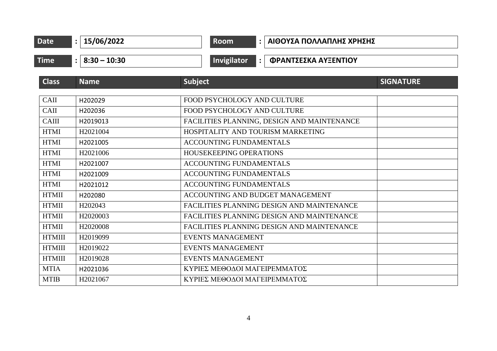| <b>Date</b>   | 15/06/2022<br>$\ddot{\cdot}$           | <b>Room</b><br>$\ddot{\phantom{a}}$         | ΑΙΘΟΥΣΑ ΠΟΛΛΑΠΛΗΣ ΧΡΗΣΗΣ |                  |
|---------------|----------------------------------------|---------------------------------------------|--------------------------|------------------|
| <b>Time</b>   | $8:30 - 10:30$<br>$\ddot{\phantom{a}}$ | <b>Invigilator</b>                          | ΦΡΑΝΤΣΕΣΚΑ ΑΥΞΕΝΤΙΟΥ     |                  |
| <b>Class</b>  | <b>Name</b>                            | <b>Subject</b>                              |                          | <b>SIGNATURE</b> |
| CAII          | H202029                                | FOOD PSYCHOLOGY AND CULTURE                 |                          |                  |
| CAII          | H202036                                | FOOD PSYCHOLOGY AND CULTURE                 |                          |                  |
| <b>CAIII</b>  | H2019013                               | FACILITIES PLANNING, DESIGN AND MAINTENANCE |                          |                  |
| <b>HTMI</b>   | H2021004                               | HOSPITALITY AND TOURISM MARKETING           |                          |                  |
| <b>HTMI</b>   | H2021005                               | <b>ACCOUNTING FUNDAMENTALS</b>              |                          |                  |
| <b>HTMI</b>   | H2021006                               | HOUSEKEEPING OPERATIONS                     |                          |                  |
| <b>HTMI</b>   | H2021007                               | <b>ACCOUNTING FUNDAMENTALS</b>              |                          |                  |
| <b>HTMI</b>   | H2021009                               | ACCOUNTING FUNDAMENTALS                     |                          |                  |
| <b>HTMI</b>   | H2021012                               | <b>ACCOUNTING FUNDAMENTALS</b>              |                          |                  |
| <b>HTMII</b>  | H202080                                | ACCOUNTING AND BUDGET MANAGEMENT            |                          |                  |
| <b>HTMII</b>  | H202043                                | FACILITIES PLANNING DESIGN AND MAINTENANCE  |                          |                  |
| <b>HTMII</b>  | H2020003                               | FACILITIES PLANNING DESIGN AND MAINTENANCE  |                          |                  |
| <b>HTMII</b>  | H2020008                               | FACILITIES PLANNING DESIGN AND MAINTENANCE  |                          |                  |
| <b>HTMIII</b> | H2019099                               | <b>EVENTS MANAGEMENT</b>                    |                          |                  |
| <b>HTMIII</b> | H2019022                               | <b>EVENTS MANAGEMENT</b>                    |                          |                  |
| <b>HTMIII</b> | H2019028                               | <b>EVENTS MANAGEMENT</b>                    |                          |                  |
| <b>MTIA</b>   | H2021036                               | ΚΥΡΙΕΣ ΜΕΘΟΔΟΙ ΜΑΓΕΙΡΕΜΜΑΤΟΣ                |                          |                  |
| <b>MTIB</b>   | H2021067                               | ΚΥΡΙΕΣ ΜΕΘΟΔΟΙ ΜΑΓΕΙΡΕΜΜΑΤΟΣ                |                          |                  |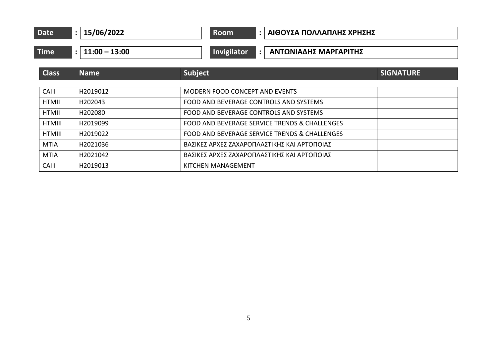| <b>Date</b>   | 15/06/2022<br>$\ddot{\cdot}$    | <b>Room</b><br>ΑΙΘΟΥΣΑ ΠΟΛΛΑΠΛΗΣ ΧΡΗΣΗΣ<br>$\ddot{\phantom{a}}$ |                  |
|---------------|---------------------------------|-----------------------------------------------------------------|------------------|
| <b>Time</b>   | $11:00 - 13:00$<br>$\mathbf{.}$ | Invigilator<br>ΑΝΤΩΝΙΑΔΗΣ ΜΑΡΓΑΡΙΤΗΣ<br>$\ddot{\phantom{a}}$    |                  |
| <b>Class</b>  | <b>Name</b>                     | Subject                                                         | <b>SIGNATURE</b> |
| CAIII         | H2019012                        | <b>MODERN FOOD CONCEPT AND EVENTS</b>                           |                  |
| <b>HTMII</b>  | H202043                         | FOOD AND BEVERAGE CONTROLS AND SYSTEMS                          |                  |
| <b>HTMII</b>  | H202080                         | FOOD AND BEVERAGE CONTROLS AND SYSTEMS                          |                  |
| <b>HTMIII</b> | H2019099                        | FOOD AND BEVERAGE SERVICE TRENDS & CHALLENGES                   |                  |
| HTMIII        | H2019022                        | FOOD AND BEVERAGE SERVICE TRENDS & CHALLENGES                   |                  |
| <b>MTIA</b>   | H2021036                        | ΒΑΣΙΚΕΣ ΑΡΧΕΣ ΖΑΧΑΡΟΠΛΑΣΤΙΚΗΣ ΚΑΙ ΑΡΤΟΠΟΙΑΣ                     |                  |
| <b>MTIA</b>   | H2021042                        | ΒΑΣΙΚΕΣ ΑΡΧΕΣ ΖΑΧΑΡΟΠΛΑΣΤΙΚΗΣ ΚΑΙ ΑΡΤΟΠΟΙΑΣ                     |                  |
| <b>CAIII</b>  | H2019013                        | KITCHEN MANAGEMENT                                              |                  |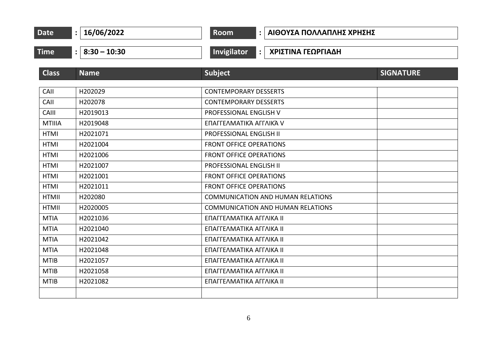| Date<br>:   $16/06/2022$ |                  | Room<br>:   ΑΙΘΟΥΣΑ ΠΟΛΛΑΠΛΗΣ ΧΡΗΣΗΣ                |                  |  |  |
|--------------------------|------------------|-----------------------------------------------------|------------------|--|--|
| <b>Time</b>              | $: 8:30 - 10:30$ | Invigilator<br>ΧΡΙΣΤΙΝΑ ΓΕΩΡΓΙΑΔΗ<br>$\ddot{\cdot}$ |                  |  |  |
| <b>Class</b>             | <b>Name</b>      | <b>Subject</b>                                      | <b>SIGNATURE</b> |  |  |
| CAII                     | H202029          | <b>CONTEMPORARY DESSERTS</b>                        |                  |  |  |
| CAII                     | H202078          | <b>CONTEMPORARY DESSERTS</b>                        |                  |  |  |
| CAIII                    | H2019013         | PROFESSIONAL ENGLISH V                              |                  |  |  |
| <b>MTIIIA</b>            | H2019048         | ΕΠΑΓΓΕΛΜΑΤΙΚΆ ΑΓΓΛΙΚΆ V                             |                  |  |  |
| <b>HTMI</b>              | H2021071         | PROFESSIONAL ENGLISH II                             |                  |  |  |
| <b>HTMI</b>              | H2021004         | <b>FRONT OFFICE OPERATIONS</b>                      |                  |  |  |
| <b>HTMI</b>              | H2021006         | <b>FRONT OFFICE OPERATIONS</b>                      |                  |  |  |
| <b>HTMI</b>              | H2021007         | PROFESSIONAL ENGLISH II                             |                  |  |  |
| <b>HTMI</b>              | H2021001         | <b>FRONT OFFICE OPERATIONS</b>                      |                  |  |  |
| <b>HTMI</b>              | H2021011         | <b>FRONT OFFICE OPERATIONS</b>                      |                  |  |  |
| <b>HTMII</b>             | H202080          | <b>COMMUNICATION AND HUMAN RELATIONS</b>            |                  |  |  |
| <b>HTMII</b>             | H2020005         | <b>COMMUNICATION AND HUMAN RELATIONS</b>            |                  |  |  |
| <b>MTIA</b>              | H2021036         | ΕΠΑΓΓΕΛΜΑΤΙΚΑ ΑΓΓΛΙΚΑ ΙΙ                            |                  |  |  |
| <b>MTIA</b>              | H2021040         | ΕΠΑΓΓΕΛΜΑΤΙΚΑ ΑΓΓΛΙΚΑ ΙΙ                            |                  |  |  |
| <b>MTIA</b>              | H2021042         | ΕΠΑΓΓΕΛΜΑΤΙΚΑ ΑΓΓΛΙΚΑ ΙΙ                            |                  |  |  |
| <b>MTIA</b>              | H2021048         | ΕΠΑΓΓΕΛΜΑΤΙΚΑ ΑΓΓΛΙΚΑ ΙΙ                            |                  |  |  |
| <b>MTIB</b>              | H2021057         | ΕΠΑΓΓΕΛΜΑΤΙΚΑ ΑΓΓΛΙΚΑ ΙΙ                            |                  |  |  |
| <b>MTIB</b>              | H2021058         | ΕΠΑΓΓΕΛΜΑΤΙΚΑ ΑΓΓΛΙΚΑ ΙΙ                            |                  |  |  |
| <b>MTIB</b>              | H2021082         | ΕΠΑΓΓΕΛΜΑΤΙΚΑ ΑΓΓΛΙΚΑ ΙΙ                            |                  |  |  |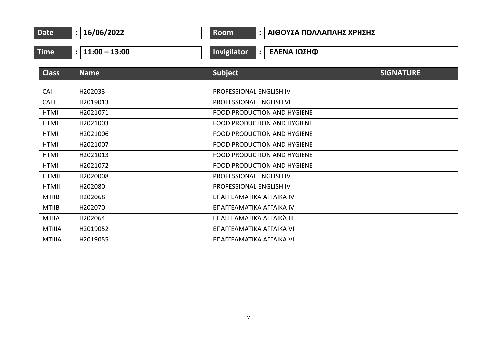| <b>Date</b>                  | 16/06/2022<br>$\ddot{\cdot}$      | Room<br>ΑΙΘΟΥΣΑ ΠΟΛΛΑΠΛΗΣ ΧΡΗΣΗΣ<br>$\mathbf{L}$                         |                  |  |
|------------------------------|-----------------------------------|--------------------------------------------------------------------------|------------------|--|
| <b>Time</b>                  | $11:00 - 13:00$<br>$\ddot{\cdot}$ | Invigilator<br>ΕΛΕΝΑ ΙΩΣΗΦ<br>$\ddot{\cdot}$                             |                  |  |
| <b>Class</b>                 | <b>Name</b>                       | <b>Subject</b>                                                           | <b>SIGNATURE</b> |  |
| CAII                         | H202033                           | PROFESSIONAL ENGLISH IV                                                  |                  |  |
| CAIII<br><b>HTMI</b>         | H2019013<br>H2021071              | PROFESSIONAL ENGLISH VI<br><b>FOOD PRODUCTION AND HYGIENE</b>            |                  |  |
| <b>HTMI</b><br><b>HTMI</b>   | H2021003<br>H2021006              | <b>FOOD PRODUCTION AND HYGIENE</b><br><b>FOOD PRODUCTION AND HYGIENE</b> |                  |  |
| <b>HTMI</b>                  | H2021007                          | <b>FOOD PRODUCTION AND HYGIENE</b>                                       |                  |  |
| <b>HTMI</b><br><b>HTMI</b>   | H2021013<br>H2021072              | <b>FOOD PRODUCTION AND HYGIENE</b><br><b>FOOD PRODUCTION AND HYGIENE</b> |                  |  |
| <b>HTMII</b><br><b>HTMII</b> | H2020008<br>H202080               | PROFESSIONAL ENGLISH IV<br>PROFESSIONAL ENGLISH IV                       |                  |  |
| <b>MTIIB</b>                 | H202068                           | ΕΠΑΓΓΕΛΜΑΤΙΚΑ ΑΓΓΛΙΚΑ ΙV                                                 |                  |  |
| <b>MTIIB</b><br><b>MTIIA</b> | H202070<br>H202064                | ΕΠΑΓΓΕΛΜΑΤΙΚΑ ΑΓΓΛΙΚΑ ΙΝ<br>ΕΠΑΓΓΕΛΜΑΤΙΚΆ ΑΓΓΛΙΚΆ ΙΙΙ                    |                  |  |
| <b>MTIIIA</b>                | H2019052                          | ΕΠΑΓΓΕΛΜΑΤΙΚΑ ΑΓΓΛΙΚΑ VI                                                 |                  |  |
| <b>MTIIIA</b>                | H2019055                          | ΕΠΑΓΓΕΛΜΑΤΙΚΑ ΑΓΓΛΙΚΑ VI                                                 |                  |  |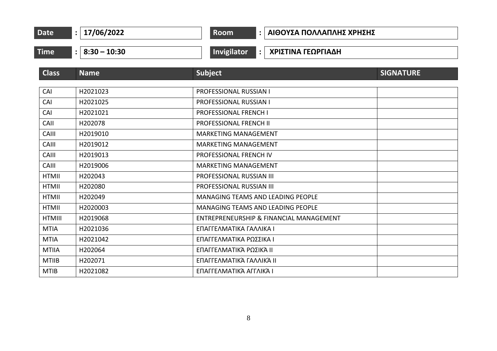|  | <b>Date</b> | 17/06/2022 | oom |  | ΑΙΘΟΥΣΑ ΠΟΛΛΑΠΛΗΣ ΧΡΗΣΗΣ |  |
|--|-------------|------------|-----|--|--------------------------|--|
|--|-------------|------------|-----|--|--------------------------|--|

**Time : 8:30 – 10:30 Invigilator : ΧΡΙΣΤΙΝΑ ΓΕΩΡΓΙΑΔΗ**

| <b>Class</b>  | <b>Name</b> | <b>Subject</b>                           | <b>SIGNATURE</b> |
|---------------|-------------|------------------------------------------|------------------|
|               |             |                                          |                  |
| CAI           | H2021023    | PROFESSIONAL RUSSIAN I                   |                  |
| CAI           | H2021025    | PROFESSIONAL RUSSIAN I                   |                  |
| CAI           | H2021021    | <b>PROFESSIONAL FRENCH I</b>             |                  |
| CAII          | H202078     | <b>PROFESSIONAL FRENCH II</b>            |                  |
| CAIII         | H2019010    | <b>MARKETING MANAGEMENT</b>              |                  |
| CAIII         | H2019012    | <b>MARKETING MANAGEMENT</b>              |                  |
| CAIII         | H2019013    | PROFESSIONAL FRENCH IV                   |                  |
| CAIII         | H2019006    | <b>MARKETING MANAGEMENT</b>              |                  |
| <b>HTMII</b>  | H202043     | <b>PROFESSIONAL RUSSIAN III</b>          |                  |
| <b>HTMII</b>  | H202080     | PROFESSIONAL RUSSIAN III                 |                  |
| <b>HTMII</b>  | H202049     | <b>MANAGING TEAMS AND LEADING PEOPLE</b> |                  |
| <b>HTMII</b>  | H2020003    | <b>MANAGING TEAMS AND LEADING PEOPLE</b> |                  |
| <b>HTMIII</b> | H2019068    | ENTREPRENEURSHIP & FINANCIAL MANAGEMENT  |                  |
| <b>MTIA</b>   | H2021036    | ΕΠΑΓΓΕΛΜΑΤΙΚΑ ΓΑΛΛΙΚΑ Ι                  |                  |
| <b>MTIA</b>   | H2021042    | ΕΠΑΓΓΕΛΜΑΤΙΚΑ ΡΩΣΣΙΚΑ Ι                  |                  |
| <b>MTIIA</b>  | H202064     | ΕΠΑΓΓΕΛΜΑΤΙΚΆ ΡΩΣΙΚΆ ΙΙ                  |                  |
| <b>MTIIB</b>  | H202071     | ΕΠΑΓΓΕΛΜΑΤΙΚΆ ΓΑΛΛΙΚΆ ΙΙ                 |                  |
| <b>MTIB</b>   | H2021082    | ΕΠΑΓΓΕΛΜΑΤΙΚΆ ΑΓΓΛΙΚΆ Ι                  |                  |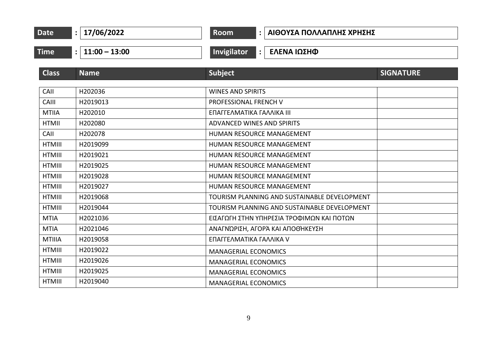| <b>Date</b>   | 17/06/2022<br>$\ddot{\cdot}$ | <b>Room</b><br>ΑΙΘΟΥΣΑ ΠΟΛΛΑΠΛΗΣ ΧΡΗΣΗΣ<br>$\mathbf{L}$ |  |
|---------------|------------------------------|---------------------------------------------------------|--|
| Time          | : $11:00 - 13:00$            | <b>Invigilator</b><br>ΕΛΕΝΑ ΙΩΣΗΦ<br>$\ddot{\cdot}$     |  |
| <b>Class</b>  | <b>Name</b>                  | <b>Subject</b><br><b>SIGNATURE</b>                      |  |
| CAII          | H202036                      | <b>WINES AND SPIRITS</b>                                |  |
| CAIII         | H2019013                     | <b>PROFESSIONAL FRENCH V</b>                            |  |
| <b>MTIIA</b>  | H202010                      | ΕΠΑΓΓΕΛΜΑΤΙΚΑ ΓΑΛΛΙΚΑ ΙΙΙ                               |  |
| <b>HTMII</b>  | H202080                      | ADVANCED WINES AND SPIRITS                              |  |
| CAII          | H202078                      | HUMAN RESOURCE MANAGEMENT                               |  |
| <b>HTMIII</b> | H2019099                     | HUMAN RESOURCE MANAGEMENT                               |  |
| <b>HTMIII</b> | H2019021                     | HUMAN RESOURCE MANAGEMENT                               |  |
| <b>HTMIII</b> | H2019025                     | HUMAN RESOURCE MANAGEMENT                               |  |
| <b>HTMIII</b> | H2019028                     | HUMAN RESOURCE MANAGEMENT                               |  |
| <b>HTMIII</b> | H2019027                     | HUMAN RESOURCE MANAGEMENT                               |  |
| <b>HTMIII</b> | H2019068                     | TOURISM PLANNING AND SUSTAINABLE DEVELOPMENT            |  |
| <b>HTMIII</b> | H2019044                     | TOURISM PLANNING AND SUSTAINABLE DEVELOPMENT            |  |
| <b>MTIA</b>   | H2021036                     | ΕΙΣΑΓΩΓΗ ΣΤΗΝ ΥΠΗΡΕΣΙΑ ΤΡΟΦΙΜΩΝ ΚΑΙ ΠΟΤΩΝ               |  |
| <b>MTIA</b>   | H2021046                     | ΑΝΑΓΝΏΡΙΣΗ, ΑΓΟΡΆ ΚΑΙ ΑΠΟΘΉΚΕΥΣΗ                        |  |
| <b>MTIIIA</b> | H2019058                     | ΕΠΑΓΓΕΛΜΑΤΙΚΑ ΓΑΛΛΙΚΑ V                                 |  |
| <b>HTMIII</b> | H2019022                     | <b>MANAGERIAL ECONOMICS</b>                             |  |
| <b>HTMIII</b> | H2019026                     | <b>MANAGERIAL ECONOMICS</b>                             |  |
| <b>HTMIII</b> | H2019025                     | <b>MANAGERIAL ECONOMICS</b>                             |  |
| <b>HTMIII</b> | H2019040                     | <b>MANAGERIAL ECONOMICS</b>                             |  |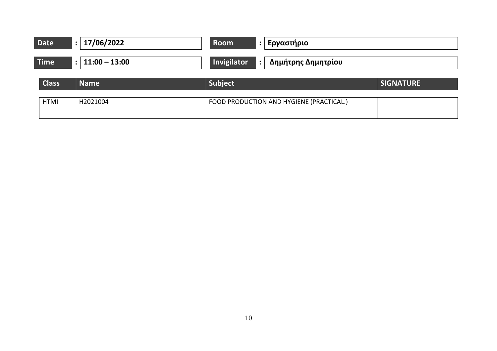| <b>Date</b>  | 17/06/2022<br>$\ddot{\cdot}$ | Εργαστήριο<br>Room                       |                  |
|--------------|------------------------------|------------------------------------------|------------------|
| <b>Time</b>  | : $11:00 - 13:00$            | Invigilator<br>Δημήτρης Δημητρίου        |                  |
| <b>Class</b> | <b>Name</b>                  | Subject                                  | <b>SIGNATURE</b> |
| <b>HTMI</b>  | H2021004                     | FOOD PRODUCTION AND HYGIENE (PRACTICAL.) |                  |
|              |                              |                                          |                  |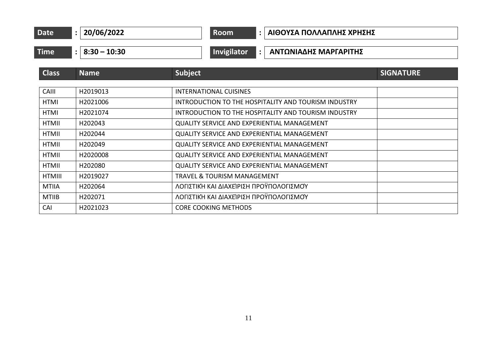| Date | /2022<br><u>'Nhi</u> | om | ΑΙΘΟΥΣΑ ΠΟΛΛΑΠΛΗΣ ΧΡΗΣΗΣ |
|------|----------------------|----|--------------------------|
|      |                      |    |                          |

**Time : 8:30 – 10:30 Invigilator : ΑΝΤΩΝΙΑΔΗΣ ΜΑΡΓΑΡΙΤΗΣ**

| <b>Class</b>  | <b>Name</b> | Subject                                              | <b>SIGNATURE</b> |
|---------------|-------------|------------------------------------------------------|------------------|
|               |             |                                                      |                  |
| CAIII         | H2019013    | INTERNATIONAL CUISINES                               |                  |
| <b>HTMI</b>   | H2021006    | INTRODUCTION TO THE HOSPITALITY AND TOURISM INDUSTRY |                  |
| <b>HTMI</b>   | H2021074    | INTRODUCTION TO THE HOSPITALITY AND TOURISM INDUSTRY |                  |
| <b>HTMII</b>  | H202043     | <b>QUALITY SERVICE AND EXPERIENTIAL MANAGEMENT</b>   |                  |
| HTMII         | H202044     | <b>QUALITY SERVICE AND EXPERIENTIAL MANAGEMENT</b>   |                  |
| <b>HTMII</b>  | H202049     | <b>QUALITY SERVICE AND EXPERIENTIAL MANAGEMENT</b>   |                  |
| <b>HTMII</b>  | H2020008    | <b>QUALITY SERVICE AND EXPERIENTIAL MANAGEMENT</b>   |                  |
| HTMII         | H202080     | <b>QUALITY SERVICE AND EXPERIENTIAL MANAGEMENT</b>   |                  |
| <b>HTMIII</b> | H2019027    | <b>TRAVEL &amp; TOURISM MANAGEMENT</b>               |                  |
| <b>MTIIA</b>  | H202064     | ΛΟΓΙΣΤΙΚΉ ΚΑΙ ΔΙΑΧΕΊΡΙΣΗ ΠΡΟΫΠΟΛΟΓΙΣΜΟΎ              |                  |
| <b>MTIIB</b>  | H202071     | ΛΟΓΙΣΤΙΚΉ ΚΑΙ ΔΙΑΧΕΊΡΙΣΗ ΠΡΟΫΠΟΛΟΓΙΣΜΟΎ              |                  |
| CAI           | H2021023    | <b>CORE COOKING METHODS</b>                          |                  |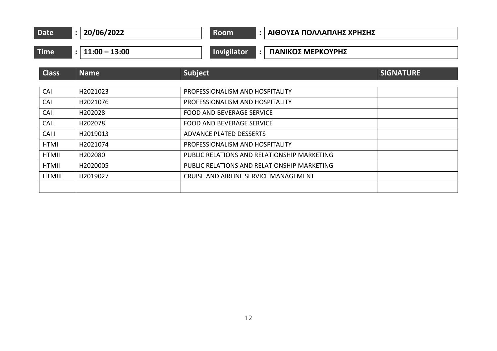| <b>Date</b> | '2022<br>Пh<br>-- | Room | . ΠΟΛΛΑΠΛΗΣ ΧΡΗΣΗΣ<br>AIOOY>A |
|-------------|-------------------|------|-------------------------------|
|             |                   |      |                               |

## **Time : 11:00 – 13:00 Invigilator : ΠΑΝΙΚΟΣ ΜΕΡΚΟΥΡΗΣ**

| <b>Class</b>  | <b>Name</b> | <b>Subject</b>                              | <b>SIGNATURE</b> |  |
|---------------|-------------|---------------------------------------------|------------------|--|
|               |             |                                             |                  |  |
| CAI           | H2021023    | PROFESSIONALISM AND HOSPITALITY             |                  |  |
| CAI           | H2021076    | PROFESSIONALISM AND HOSPITALITY             |                  |  |
| CAII          | H202028     | <b>FOOD AND BEVERAGE SERVICE</b>            |                  |  |
| CAII          | H202078     | <b>FOOD AND BEVERAGE SERVICE</b>            |                  |  |
| <b>CAIII</b>  | H2019013    | <b>ADVANCE PLATED DESSERTS</b>              |                  |  |
| <b>HTMI</b>   | H2021074    | PROFESSIONALISM AND HOSPITALITY             |                  |  |
| <b>HTMII</b>  | H202080     | PUBLIC RELATIONS AND RELATIONSHIP MARKETING |                  |  |
| <b>HTMII</b>  | H2020005    | PUBLIC RELATIONS AND RELATIONSHIP MARKETING |                  |  |
| <b>HTMIII</b> | H2019027    | CRUISE AND AIRLINE SERVICE MANAGEMENT       |                  |  |
|               |             |                                             |                  |  |